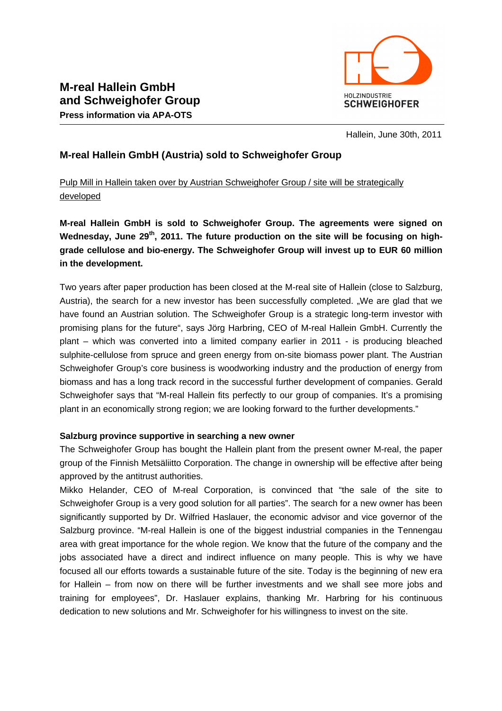

Hallein, June 30th, 2011

# **M-real Hallein GmbH (Austria) sold to Schweighofer Group**

Pulp Mill in Hallein taken over by Austrian Schweighofer Group / site will be strategically developed

**M-real Hallein GmbH is sold to Schweighofer Group. The agreements were signed on Wednesday, June 29th, 2011. The future production on the site will be focusing on highgrade cellulose and bio-energy. The Schweighofer Group will invest up to EUR 60 million in the development.** 

Two years after paper production has been closed at the M-real site of Hallein (close to Salzburg, Austria), the search for a new investor has been successfully completed. "We are glad that we have found an Austrian solution. The Schweighofer Group is a strategic long-term investor with promising plans for the future", says Jörg Harbring, CEO of M-real Hallein GmbH. Currently the plant – which was converted into a limited company earlier in 2011 - is producing bleached sulphite-cellulose from spruce and green energy from on-site biomass power plant. The Austrian Schweighofer Group's core business is woodworking industry and the production of energy from biomass and has a long track record in the successful further development of companies. Gerald Schweighofer says that "M-real Hallein fits perfectly to our group of companies. It's a promising plant in an economically strong region; we are looking forward to the further developments."

## **Salzburg province supportive in searching a new owner**

The Schweighofer Group has bought the Hallein plant from the present owner M-real, the paper group of the Finnish Metsäliitto Corporation. The change in ownership will be effective after being approved by the antitrust authorities.

Mikko Helander, CEO of M-real Corporation, is convinced that "the sale of the site to Schweighofer Group is a very good solution for all parties". The search for a new owner has been significantly supported by Dr. Wilfried Haslauer, the economic advisor and vice governor of the Salzburg province. "M-real Hallein is one of the biggest industrial companies in the Tennengau area with great importance for the whole region. We know that the future of the company and the jobs associated have a direct and indirect influence on many people. This is why we have focused all our efforts towards a sustainable future of the site. Today is the beginning of new era for Hallein – from now on there will be further investments and we shall see more jobs and training for employees", Dr. Haslauer explains, thanking Mr. Harbring for his continuous dedication to new solutions and Mr. Schweighofer for his willingness to invest on the site.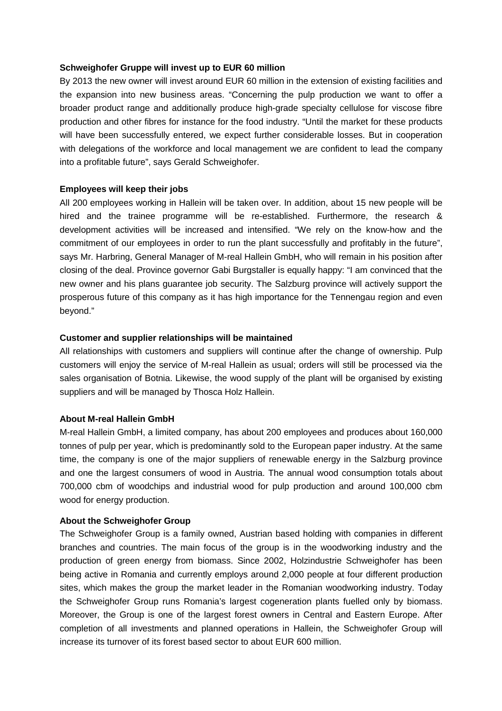#### **Schweighofer Gruppe will invest up to EUR 60 million**

By 2013 the new owner will invest around EUR 60 million in the extension of existing facilities and the expansion into new business areas. "Concerning the pulp production we want to offer a broader product range and additionally produce high-grade specialty cellulose for viscose fibre production and other fibres for instance for the food industry. "Until the market for these products will have been successfully entered, we expect further considerable losses. But in cooperation with delegations of the workforce and local management we are confident to lead the company into a profitable future", says Gerald Schweighofer.

#### **Employees will keep their jobs**

All 200 employees working in Hallein will be taken over. In addition, about 15 new people will be hired and the trainee programme will be re-established. Furthermore, the research & development activities will be increased and intensified. "We rely on the know-how and the commitment of our employees in order to run the plant successfully and profitably in the future", says Mr. Harbring, General Manager of M-real Hallein GmbH, who will remain in his position after closing of the deal. Province governor Gabi Burgstaller is equally happy: "I am convinced that the new owner and his plans guarantee job security. The Salzburg province will actively support the prosperous future of this company as it has high importance for the Tennengau region and even beyond."

### **Customer and supplier relationships will be maintained**

All relationships with customers and suppliers will continue after the change of ownership. Pulp customers will enjoy the service of M-real Hallein as usual; orders will still be processed via the sales organisation of Botnia. Likewise, the wood supply of the plant will be organised by existing suppliers and will be managed by Thosca Holz Hallein.

#### **About M-real Hallein GmbH**

M-real Hallein GmbH, a limited company, has about 200 employees and produces about 160,000 tonnes of pulp per year, which is predominantly sold to the European paper industry. At the same time, the company is one of the major suppliers of renewable energy in the Salzburg province and one the largest consumers of wood in Austria. The annual wood consumption totals about 700,000 cbm of woodchips and industrial wood for pulp production and around 100,000 cbm wood for energy production.

#### **About the Schweighofer Group**

The Schweighofer Group is a family owned, Austrian based holding with companies in different branches and countries. The main focus of the group is in the woodworking industry and the production of green energy from biomass. Since 2002, Holzindustrie Schweighofer has been being active in Romania and currently employs around 2,000 people at four different production sites, which makes the group the market leader in the Romanian woodworking industry. Today the Schweighofer Group runs Romania's largest cogeneration plants fuelled only by biomass. Moreover, the Group is one of the largest forest owners in Central and Eastern Europe. After completion of all investments and planned operations in Hallein, the Schweighofer Group will increase its turnover of its forest based sector to about EUR 600 million.